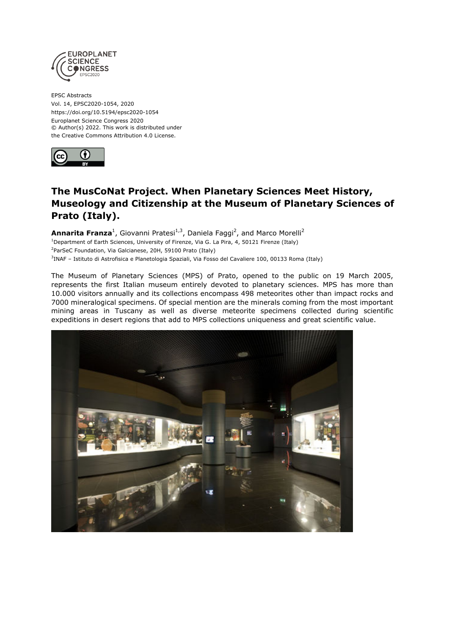

EPSC Abstracts Vol. 14, EPSC2020-1054, 2020 https://doi.org/10.5194/epsc2020-1054 Europlanet Science Congress 2020 © Author(s) 2022. This work is distributed under the Creative Commons Attribution 4.0 License.



## **The MusCoNat Project. When Planetary Sciences Meet History, Museology and Citizenship at the Museum of Planetary Sciences of Prato (Italy).**

**Annarita Franza**<sup>1</sup>, Giovanni Pratesi<sup>1,3</sup>, Daniela Faggi<sup>2</sup>, and Marco Morelli<sup>2</sup> <sup>1</sup>Department of Earth Sciences, University of Firenze, Via G. La Pira, 4, 50121 Firenze (Italy) <sup>2</sup>ParSeC Foundation, Via Galcianese, 20H, 59100 Prato (Italy) 3 INAF – Istituto di Astrofisica e Planetologia Spaziali, Via Fosso del Cavaliere 100, 00133 Roma (Italy)

The Museum of Planetary Sciences (MPS) of Prato, opened to the public on 19 March 2005, represents the first Italian museum entirely devoted to planetary sciences. MPS has more than 10.000 visitors annually and its collections encompass 498 meteorites other than impact rocks and 7000 mineralogical specimens. Of special mention are the minerals coming from the most important mining areas in Tuscany as well as diverse meteorite specimens collected during scientific expeditions in desert regions that add to MPS collections uniqueness and great scientific value.

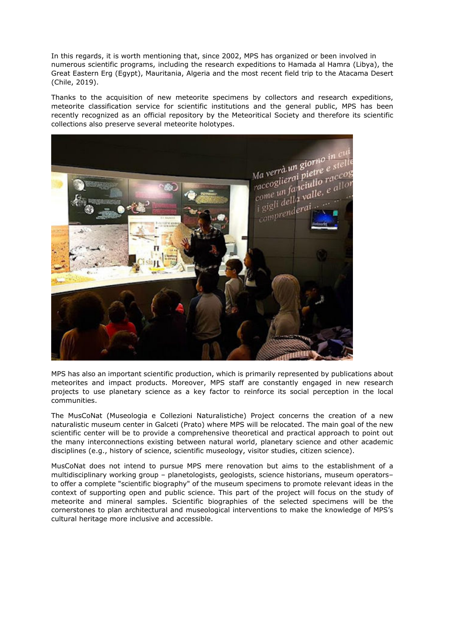In this regards, it is worth mentioning that, since 2002, MPS has organized or been involved in numerous scientific programs, including the research expeditions to Hamada al Hamra (Libya), the Great Eastern Erg (Egypt), Mauritania, Algeria and the most recent field trip to the Atacama Desert (Chile, 2019).

Thanks to the acquisition of new meteorite specimens by collectors and research expeditions, meteorite classification service for scientific institutions and the general public, MPS has been recently recognized as an official repository by the Meteoritical Society and therefore its scientific collections also preserve several meteorite holotypes.



MPS has also an important scientific production, which is primarily represented by publications about meteorites and impact products. Moreover, MPS staff are constantly engaged in new research projects to use planetary science as a key factor to reinforce its social perception in the local communities.

The MusCoNat (Museologia e Collezioni Naturalistiche) Project concerns the creation of a new naturalistic museum center in Galceti (Prato) where MPS will be relocated. The main goal of the new scientific center will be to provide a comprehensive theoretical and practical approach to point out the many interconnections existing between natural world, planetary science and other academic disciplines (e.g., history of science, scientific museology, visitor studies, citizen science).

MusCoNat does not intend to pursue MPS mere renovation but aims to the establishment of a multidisciplinary working group – planetologists, geologists, science historians, museum operators– to offer a complete "scientific biography" of the museum specimens to promote relevant ideas in the context of supporting open and public science. This part of the project will focus on the study of meteorite and mineral samples. Scientific biographies of the selected specimens will be the cornerstones to plan architectural and museological interventions to make the knowledge of MPS's cultural heritage more inclusive and accessible.